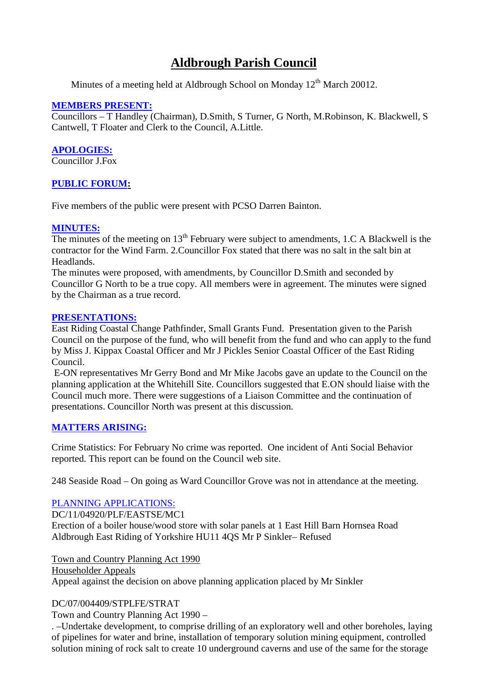# **Aldbrough Parish Council**

Minutes of a meeting held at Aldbrough School on Monday  $12<sup>th</sup>$  March 20012.

# **MEMBERS PRESENT:**

Councillors – T Handley (Chairman), D.Smith, S Turner, G North, M.Robinson, K. Blackwell, S Cantwell, T Floater and Clerk to the Council, A.Little.

## **APOLOGIES:**

Councillor J.Fox

# **PUBLIC FORUM:**

Five members of the public were present with PCSO Darren Bainton.

## **MINUTES:**

The minutes of the meeting on  $13<sup>th</sup>$  February were subject to amendments, 1.C A Blackwell is the contractor for the Wind Farm. 2.Councillor Fox stated that there was no salt in the salt bin at Headlands.

The minutes were proposed, with amendments, by Councillor D.Smith and seconded by Councillor G North to be a true copy. All members were in agreement. The minutes were signed by the Chairman as a true record.

## **PRESENTATIONS:**

East Riding Coastal Change Pathfinder, Small Grants Fund. Presentation given to the Parish Council on the purpose of the fund, who will benefit from the fund and who can apply to the fund by Miss J. Kippax Coastal Officer and Mr J Pickles Senior Coastal Officer of the East Riding Council.

E-ON representatives Mr Gerry Bond and Mr Mike Jacobs gave an update to the Council on the planning application at the Whitehill Site. Councillors suggested that E.ON should liaise with the Council much more. There were suggestions of a Liaison Committee and the continuation of presentations. Councillor North was present at this discussion.

# **MATTERS ARISING:**

Crime Statistics: For February No crime was reported. One incident of Anti Social Behavior reported. This report can be found on the Council web site.

248 Seaside Road – On going as Ward Councillor Grove was not in attendance at the meeting.

# PLANNING APPLICATIONS:

DC/11/04920/PLF/EASTSE/MC1

Erection of a boiler house/wood store with solar panels at 1 East Hill Barn Hornsea Road Aldbrough East Riding of Yorkshire HU11 4QS Mr P Sinkler– Refused

Town and Country Planning Act 1990

Householder Appeals

Appeal against the decision on above planning application placed by Mr Sinkler

## DC/07/004409/STPLFE/STRAT

Town and Country Planning Act 1990 –

. –Undertake development, to comprise drilling of an exploratory well and other boreholes, laying of pipelines for water and brine, installation of temporary solution mining equipment, controlled solution mining of rock salt to create 10 underground caverns and use of the same for the storage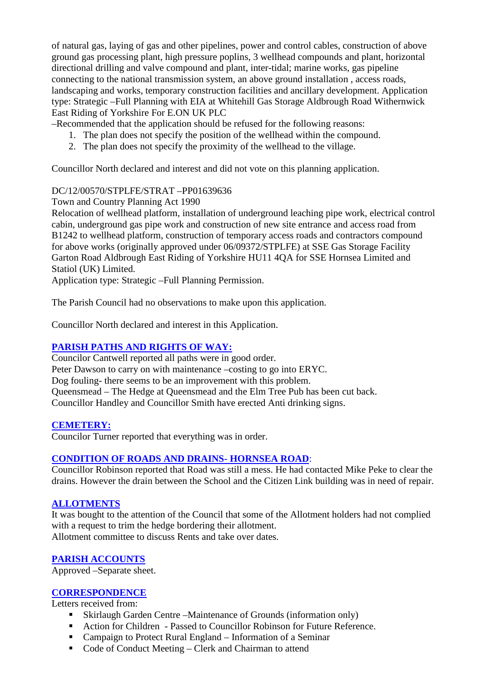of natural gas, laying of gas and other pipelines, power and control cables, construction of above ground gas processing plant, high pressure poplins, 3 wellhead compounds and plant, horizontal directional drilling and valve compound and plant, inter-tidal; marine works, gas pipeline connecting to the national transmission system, an above ground installation , access roads, landscaping and works, temporary construction facilities and ancillary development. Application type: Strategic –Full Planning with EIA at Whitehill Gas Storage Aldbrough Road Withernwick East Riding of Yorkshire For E.ON UK PLC

–Recommended that the application should be refused for the following reasons:

- 1. The plan does not specify the position of the wellhead within the compound.
- 2. The plan does not specify the proximity of the wellhead to the village.

Councillor North declared and interest and did not vote on this planning application.

## DC/12/00570/STPLFE/STRAT –PP01639636

Town and Country Planning Act 1990

Relocation of wellhead platform, installation of underground leaching pipe work, electrical control cabin, underground gas pipe work and construction of new site entrance and access road from B1242 to wellhead platform, construction of temporary access roads and contractors compound for above works (originally approved under 06/09372/STPLFE) at SSE Gas Storage Facility Garton Road Aldbrough East Riding of Yorkshire HU11 4QA for SSE Hornsea Limited and Statiol (UK) Limited.

Application type: Strategic –Full Planning Permission.

The Parish Council had no observations to make upon this application.

Councillor North declared and interest in this Application.

# **PARISH PATHS AND RIGHTS OF WAY:**

Councilor Cantwell reported all paths were in good order.

Peter Dawson to carry on with maintenance –costing to go into ERYC.

Dog fouling- there seems to be an improvement with this problem.

Queensmead – The Hedge at Queensmead and the Elm Tree Pub has been cut back.

Councillor Handley and Councillor Smith have erected Anti drinking signs.

## **CEMETERY:**

Councilor Turner reported that everything was in order.

## **CONDITION OF ROADS AND DRAINS- HORNSEA ROAD**:

Councillor Robinson reported that Road was still a mess. He had contacted Mike Peke to clear the drains. However the drain between the School and the Citizen Link building was in need of repair.

# **ALLOTMENTS**

It was bought to the attention of the Council that some of the Allotment holders had not complied with a request to trim the hedge bordering their allotment. Allotment committee to discuss Rents and take over dates.

## **PARISH ACCOUNTS**

Approved –Separate sheet.

## **CORRESPONDENCE**

Letters received from:

- Skirlaugh Garden Centre –Maintenance of Grounds (information only)
- Action for Children Passed to Councillor Robinson for Future Reference.
- Campaign to Protect Rural England Information of a Seminar
- Code of Conduct Meeting Clerk and Chairman to attend